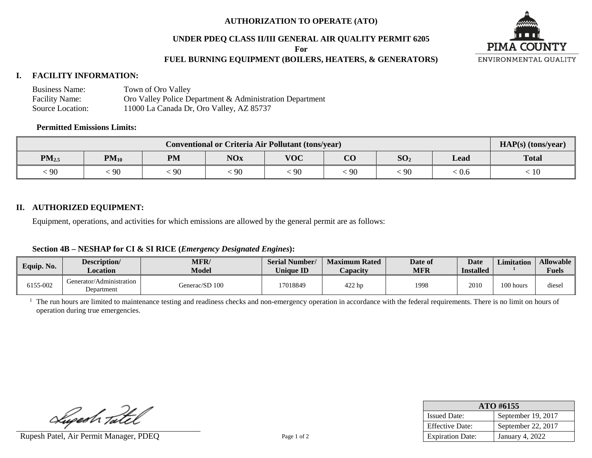### **AUTHORIZATION TO OPERATE (ATO)**

#### **UNDER PDEQ CLASS II/III GENERAL AIR QUALITY PERMIT 6205**

**For**

## **FUEL BURNING EQUIPMENT (BOILERS, HEATERS, & GENERATORS)**



## **I. FACILITY INFORMATION:**

| <b>Business Name:</b> | Town of Oro Valley                                       |
|-----------------------|----------------------------------------------------------|
| <b>Facility Name:</b> | Oro Valley Police Department & Administration Department |
| Source Location:      | 11000 La Canada Dr, Oro Valley, AZ 85737                 |

## **Permitted Emissions Limits:**

| <b>Conventional or Criteria Air Pollutant (tons/year)</b> |           |           |            |                  |                 |                 |       | $HAP(s)$ (tons/year) |
|-----------------------------------------------------------|-----------|-----------|------------|------------------|-----------------|-----------------|-------|----------------------|
| $PM_{2.5}$                                                | $PM_{10}$ | <b>PM</b> | <b>NOx</b> | <b>VOC</b>       | $\alpha$<br>U V | SO <sub>2</sub> | Lead  | <b>Total</b>         |
| $\lesssim 90$                                             | -90       | 90        | 90         | $\frac{1}{2}$ 90 | 90              | 90              | 10.0° | -10                  |

#### **II. AUTHORIZED EQUIPMENT:**

Equipment, operations, and activities for which emissions are allowed by the general permit are as follows:

## **Section 4B – NESHAP for CI & SI RICE (***Emergency Designated Engines***):**

| Equip. No. | Description/<br>Location               | MFR/<br>Model  | <b>Serial Number/</b><br><b>Unique ID</b> | <b>Maximum Rated</b><br>Capacity | Date of<br><b>MFR</b> | <b>Date</b><br><b>Installed</b> | <b>Limitation</b> | <b>Allowable</b><br><b>Fuels</b> |
|------------|----------------------------------------|----------------|-------------------------------------------|----------------------------------|-----------------------|---------------------------------|-------------------|----------------------------------|
| 6155-002   | Generator/Administration<br>Department | Generac/SD 100 | 17018849                                  | 422 hp                           | 1998                  | 2010                            | 100 hours         | diesel                           |

<sup>1</sup> The run hours are limited to maintenance testing and readiness checks and non-emergency operation in accordance with the federal requirements. There is no limit on hours of operation during true emergencies.

Lugesh Tatel

Rupesh Patel, Air Permit Manager, PDEQ Page 1 of 2

| ATO #6155               |                    |  |  |  |
|-------------------------|--------------------|--|--|--|
| <b>Issued Date:</b>     | September 19, 2017 |  |  |  |
| <b>Effective Date:</b>  | September 22, 2017 |  |  |  |
| <b>Expiration Date:</b> | January 4, 2022    |  |  |  |